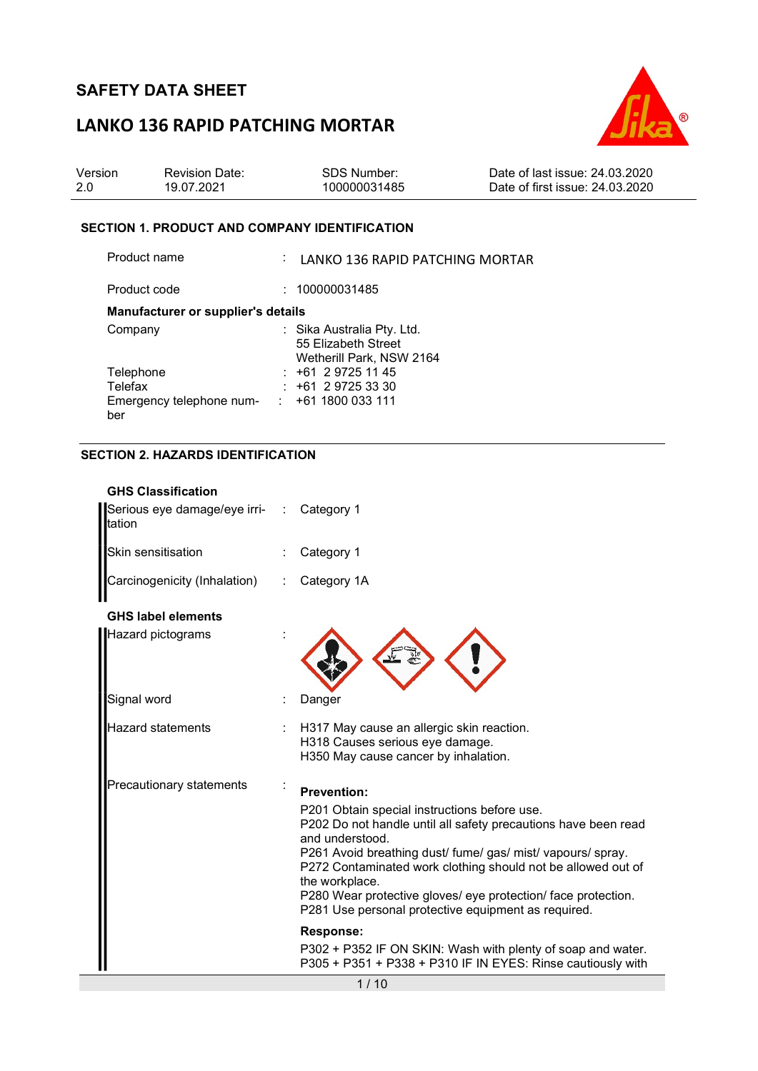## LANKO 136 RAPID PATCHING MORTAR



| Version | <b>Revision Date:</b> | SDS Number:  | Date of last issue: 24,03,2020  |
|---------|-----------------------|--------------|---------------------------------|
| -2.0    | 19.07.2021            | 100000031485 | Date of first issue: 24.03.2020 |

#### SECTION 1. PRODUCT AND COMPANY IDENTIFICATION

Product name : LANKO 136 RAPID PATCHING MORTAR Product code : 100000031485 Manufacturer or supplier's details Company : Sika Australia Pty. Ltd. 55 Elizabeth Street Wetherill Park, NSW 2164 Telephone : +61 2 9725 11 45<br>Telefax : +61 2 9725 33 30  $\pm 61$  2 9725 33 30 Emergency telephone num- : +61 1800 033 111 ber

#### SECTION 2. HAZARDS IDENTIFICATION

| <b>GHS Classification</b><br>Serious eye damage/eye irri-<br>tation | Category 1                                                                                                                                                                                                                                                                                                                                                                                                                                                                                                          |
|---------------------------------------------------------------------|---------------------------------------------------------------------------------------------------------------------------------------------------------------------------------------------------------------------------------------------------------------------------------------------------------------------------------------------------------------------------------------------------------------------------------------------------------------------------------------------------------------------|
| Skin sensitisation                                                  | Category 1                                                                                                                                                                                                                                                                                                                                                                                                                                                                                                          |
| Carcinogenicity (Inhalation)                                        | Category 1A                                                                                                                                                                                                                                                                                                                                                                                                                                                                                                         |
| <b>GHS label elements</b>                                           |                                                                                                                                                                                                                                                                                                                                                                                                                                                                                                                     |
| Hazard pictograms                                                   |                                                                                                                                                                                                                                                                                                                                                                                                                                                                                                                     |
| Signal word                                                         | Danger                                                                                                                                                                                                                                                                                                                                                                                                                                                                                                              |
| <b>Hazard statements</b>                                            | H317 May cause an allergic skin reaction.<br>H318 Causes serious eye damage.<br>H350 May cause cancer by inhalation.                                                                                                                                                                                                                                                                                                                                                                                                |
| Precautionary statements                                            | <b>Prevention:</b><br>P201 Obtain special instructions before use.<br>P202 Do not handle until all safety precautions have been read<br>and understood.<br>P261 Avoid breathing dust/ fume/ gas/ mist/ vapours/ spray.<br>P272 Contaminated work clothing should not be allowed out of<br>the workplace.<br>P280 Wear protective gloves/ eye protection/ face protection.<br>P281 Use personal protective equipment as required.<br><b>Response:</b><br>P302 + P352 IF ON SKIN: Wash with plenty of soap and water. |
|                                                                     | P305 + P351 + P338 + P310 IF IN EYES: Rinse cautiously with                                                                                                                                                                                                                                                                                                                                                                                                                                                         |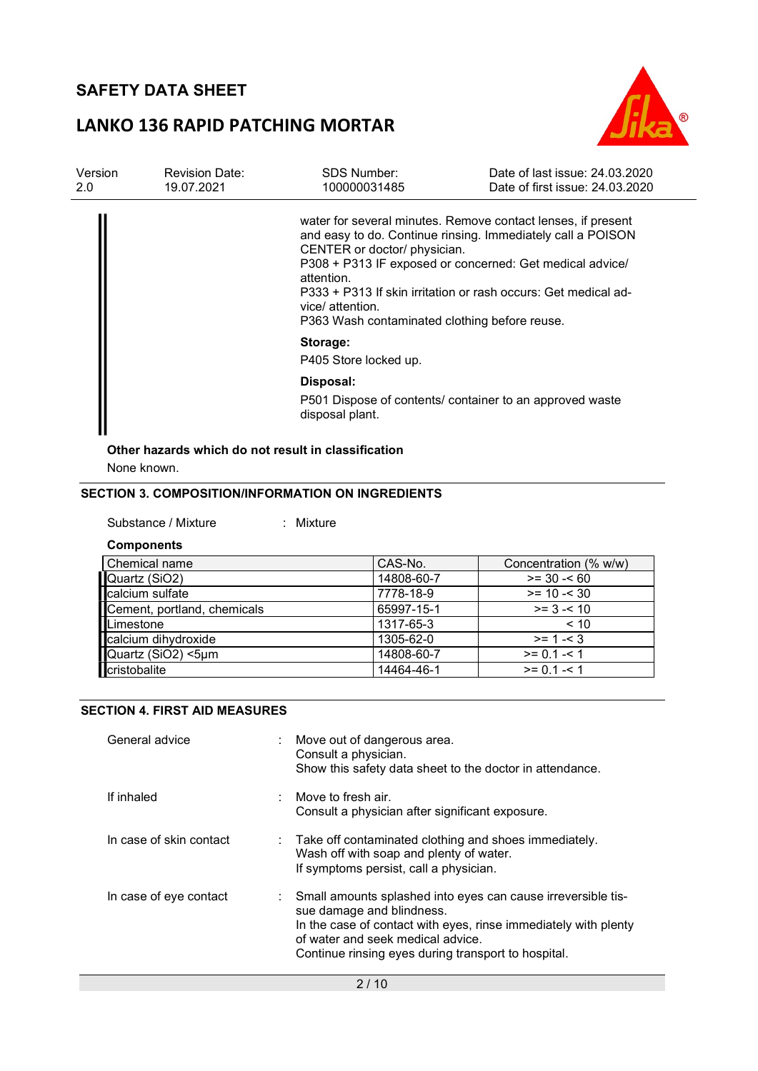# LANKO 136 RAPID PATCHING MORTAR



| Version<br>2.0 | <b>Revision Date:</b><br>19.07.2021 | SDS Number:<br>100000031485                                                                                     | Date of last issue: 24,03,2020<br>Date of first issue: 24.03.2020                                                                                                                                                                                         |
|----------------|-------------------------------------|-----------------------------------------------------------------------------------------------------------------|-----------------------------------------------------------------------------------------------------------------------------------------------------------------------------------------------------------------------------------------------------------|
|                |                                     | CENTER or doctor/ physician.<br>attention.<br>vice/ attention.<br>P363 Wash contaminated clothing before reuse. | water for several minutes. Remove contact lenses, if present<br>and easy to do. Continue rinsing. Immediately call a POISON<br>P308 + P313 IF exposed or concerned: Get medical advice/<br>P333 + P313 If skin irritation or rash occurs: Get medical ad- |
|                |                                     | Storage:<br>P405 Store locked up.                                                                               |                                                                                                                                                                                                                                                           |
|                |                                     | Disposal:                                                                                                       |                                                                                                                                                                                                                                                           |
|                |                                     | disposal plant.                                                                                                 | P501 Dispose of contents/ container to an approved waste                                                                                                                                                                                                  |

# Other hazards which do not result in classification

None known.

### SECTION 3. COMPOSITION/INFORMATION ON INGREDIENTS

| Substance / Mixture |  | Mixture |
|---------------------|--|---------|
|---------------------|--|---------|

**Components** 

| Chemical name               | CAS-No.    | Concentration (% w/w) |
|-----------------------------|------------|-----------------------|
| Quartz (SiO2)               | 14808-60-7 | $>= 30 - 60$          |
| calcium sulfate             | 7778-18-9  | $>= 10 - 30$          |
| Cement, portland, chemicals | 65997-15-1 | $>= 3 - 10$           |
| Limestone                   | 1317-65-3  | < 10                  |
| calcium dihydroxide         | 1305-62-0  | $>= 1 - 3$            |
| Quartz (SiO2) <5µm          | 14808-60-7 | $>= 0.1 - 1$          |
| cristobalite                | 14464-46-1 | $>= 0.1 - 1$          |

#### SECTION 4. FIRST AID MEASURES

| General advice          | : Move out of dangerous area.<br>Consult a physician.<br>Show this safety data sheet to the doctor in attendance.                                                                                                                                          |
|-------------------------|------------------------------------------------------------------------------------------------------------------------------------------------------------------------------------------------------------------------------------------------------------|
| If inhaled              | $\therefore$ Move to fresh air.<br>Consult a physician after significant exposure.                                                                                                                                                                         |
| In case of skin contact | $\therefore$ Take off contaminated clothing and shoes immediately.<br>Wash off with soap and plenty of water.<br>If symptoms persist, call a physician.                                                                                                    |
| In case of eye contact  | : Small amounts splashed into eyes can cause irreversible tis-<br>sue damage and blindness.<br>In the case of contact with eyes, rinse immediately with plenty<br>of water and seek medical advice.<br>Continue rinsing eyes during transport to hospital. |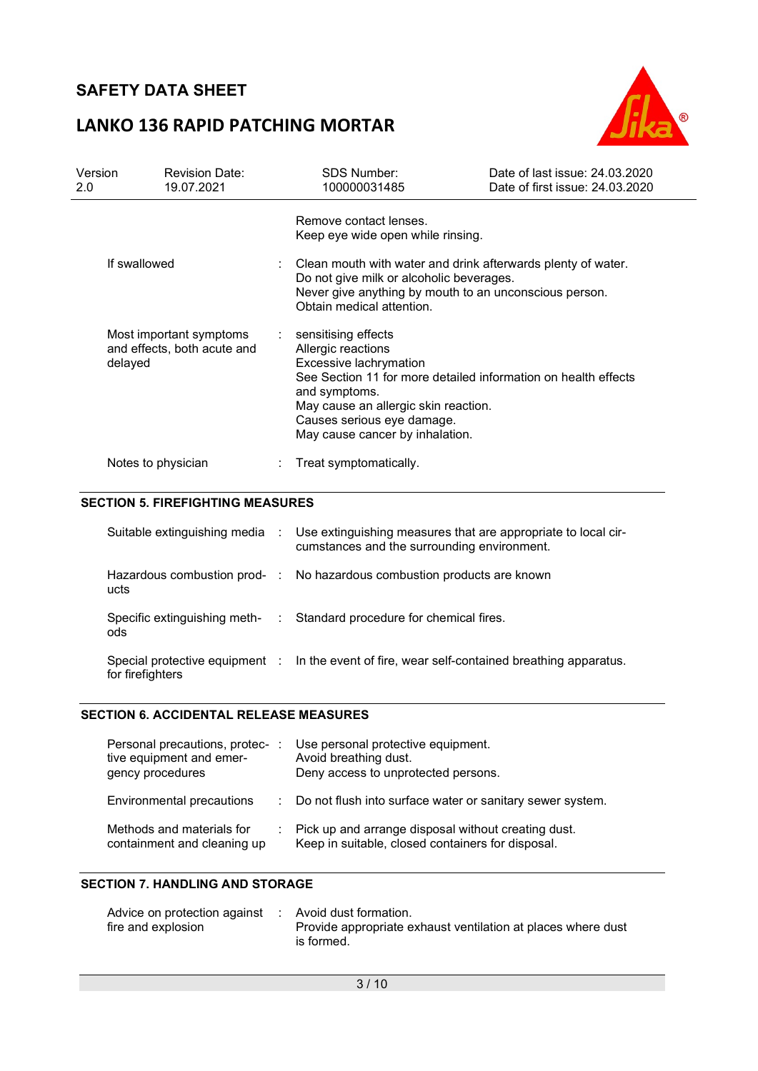## LANKO 136 RAPID PATCHING MORTAR



| Version<br>2.0 | <b>Revision Date:</b><br>19.07.2021                               |             | <b>SDS Number:</b><br>100000031485                                                                                                                                                                                                                              | Date of last issue: 24,03,2020<br>Date of first issue: 24.03.2020 |
|----------------|-------------------------------------------------------------------|-------------|-----------------------------------------------------------------------------------------------------------------------------------------------------------------------------------------------------------------------------------------------------------------|-------------------------------------------------------------------|
|                |                                                                   |             | Remove contact lenses.<br>Keep eye wide open while rinsing.                                                                                                                                                                                                     |                                                                   |
|                | If swallowed                                                      |             | Clean mouth with water and drink afterwards plenty of water.<br>Do not give milk or alcoholic beverages.<br>Never give anything by mouth to an unconscious person.<br>Obtain medical attention.                                                                 |                                                                   |
|                | Most important symptoms<br>and effects, both acute and<br>delayed |             | sensitising effects<br>Allergic reactions<br>Excessive lachrymation<br>See Section 11 for more detailed information on health effects<br>and symptoms.<br>May cause an allergic skin reaction.<br>Causes serious eye damage.<br>May cause cancer by inhalation. |                                                                   |
|                | Notes to physician                                                |             | Treat symptomatically.                                                                                                                                                                                                                                          |                                                                   |
|                | <b>SECTION 5. FIREFIGHTING MEASURES</b>                           |             |                                                                                                                                                                                                                                                                 |                                                                   |
|                | Suitable extinguishing media :                                    |             | Use extinguishing measures that are appropriate to local cir-<br>cumstances and the surrounding environment.                                                                                                                                                    |                                                                   |
|                | Hazardous combustion prod- :<br>ucts                              |             | No hazardous combustion products are known                                                                                                                                                                                                                      |                                                                   |
|                | Specific extinguishing meth-<br>ods                               | $\sim 10^7$ | Standard procedure for chemical fires.                                                                                                                                                                                                                          |                                                                   |
|                | Special protective equipment :<br>for firefighters                |             | In the event of fire, wear self-contained breathing apparatus.                                                                                                                                                                                                  |                                                                   |

#### SECTION 6. ACCIDENTAL RELEASE MEASURES

| Personal precautions, protec-<br>tive equipment and emer-<br>gency procedures | Use personal protective equipment.<br>Avoid breathing dust.<br>Deny access to unprotected persons.       |
|-------------------------------------------------------------------------------|----------------------------------------------------------------------------------------------------------|
| Environmental precautions                                                     | : Do not flush into surface water or sanitary sewer system.                                              |
| Methods and materials for<br>containment and cleaning up                      | Pick up and arrange disposal without creating dust.<br>Keep in suitable, closed containers for disposal. |

#### SECTION 7. HANDLING AND STORAGE

| Advice on protection against : Avoid dust formation. |                                                              |
|------------------------------------------------------|--------------------------------------------------------------|
| fire and explosion                                   | Provide appropriate exhaust ventilation at places where dust |
|                                                      | is formed.                                                   |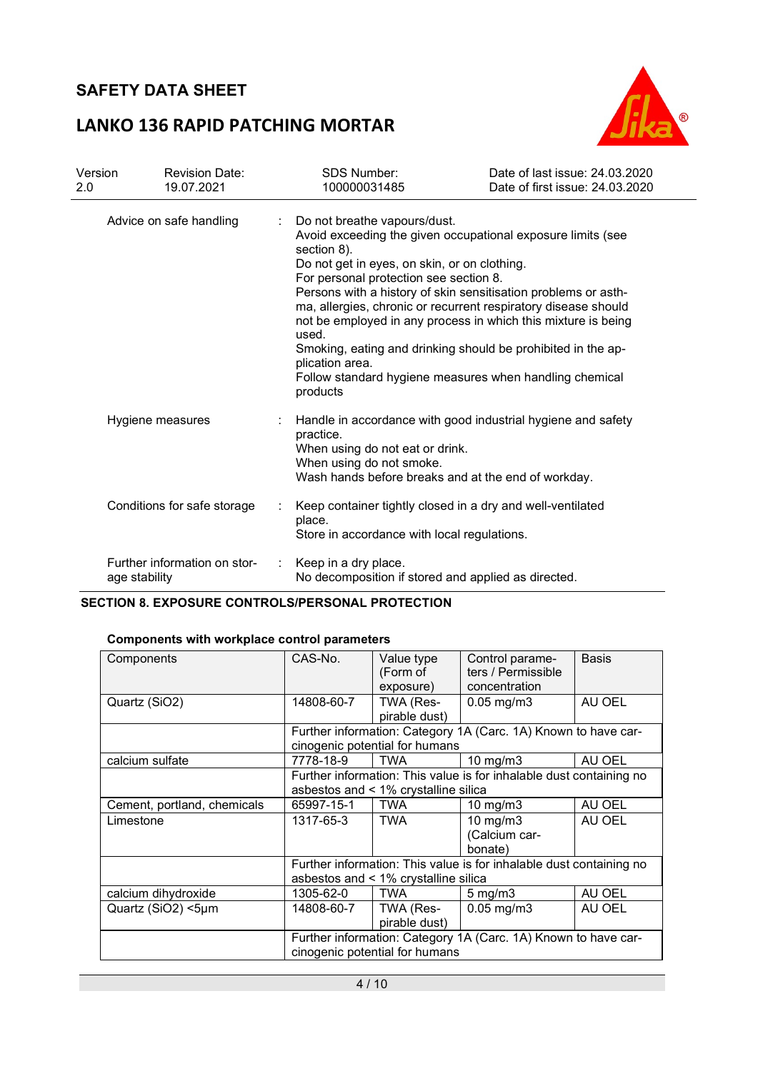# LANKO 136 RAPID PATCHING MORTAR



| Version<br>2.0 | <b>Revision Date:</b><br>19.07.2021           | <b>SDS Number:</b><br>100000031485                                                                                                                                | Date of last issue: 24.03.2020<br>Date of first issue: 24.03.2020                                                                                                                                                                                                                                                                                                                           |
|----------------|-----------------------------------------------|-------------------------------------------------------------------------------------------------------------------------------------------------------------------|---------------------------------------------------------------------------------------------------------------------------------------------------------------------------------------------------------------------------------------------------------------------------------------------------------------------------------------------------------------------------------------------|
|                | Advice on safe handling                       | Do not breathe vapours/dust.<br>section 8).<br>Do not get in eyes, on skin, or on clothing.<br>For personal protection see section 8.<br>used.<br>plication area. | Avoid exceeding the given occupational exposure limits (see<br>Persons with a history of skin sensitisation problems or asth-<br>ma, allergies, chronic or recurrent respiratory disease should<br>not be employed in any process in which this mixture is being<br>Smoking, eating and drinking should be prohibited in the ap-<br>Follow standard hygiene measures when handling chemical |
|                | Hygiene measures                              | products<br>practice.<br>When using do not eat or drink.<br>When using do not smoke.                                                                              | Handle in accordance with good industrial hygiene and safety<br>Wash hands before breaks and at the end of workday.                                                                                                                                                                                                                                                                         |
|                | Conditions for safe storage                   | place.<br>Store in accordance with local regulations.                                                                                                             | Keep container tightly closed in a dry and well-ventilated                                                                                                                                                                                                                                                                                                                                  |
|                | Further information on stor-<br>age stability | Keep in a dry place.<br>No decomposition if stored and applied as directed.                                                                                       |                                                                                                                                                                                                                                                                                                                                                                                             |

#### SECTION 8. EXPOSURE CONTROLS/PERSONAL PROTECTION

#### Components with workplace control parameters

| Components                  | CAS-No.    | Value type<br>(Form of<br>exposure)  | Control parame-<br>ters / Permissible<br>concentration              | <b>Basis</b> |
|-----------------------------|------------|--------------------------------------|---------------------------------------------------------------------|--------------|
| Quartz (SiO2)               | 14808-60-7 | TWA (Res-<br>pirable dust)           | $0.05$ mg/m $3$                                                     | AU OEL       |
|                             |            | cinogenic potential for humans       | Further information: Category 1A (Carc. 1A) Known to have car-      |              |
| calcium sulfate             | 7778-18-9  | <b>TWA</b>                           | 10 mg/m $3$                                                         | AU OEL       |
|                             |            | asbestos and < 1% crystalline silica | Further information: This value is for inhalable dust containing no |              |
| Cement, portland, chemicals | 65997-15-1 | <b>TWA</b>                           | $10$ mg/m $3$                                                       | AU OEL       |
| Limestone                   | 1317-65-3  | <b>TWA</b>                           | $10 \text{ mg/m}$<br>(Calcium car-<br>bonate)                       | AU OEL       |
|                             |            | asbestos and < 1% crystalline silica | Further information: This value is for inhalable dust containing no |              |
| calcium dihydroxide         | 1305-62-0  | <b>TWA</b>                           | $5 \text{ mg/m}$                                                    | AU OEL       |
| Quartz (SiO2) <5µm          | 14808-60-7 | TWA (Res-<br>pirable dust)           | $0.05$ mg/m $3$                                                     | AU OEL       |
|                             |            | cinogenic potential for humans       | Further information: Category 1A (Carc. 1A) Known to have car-      |              |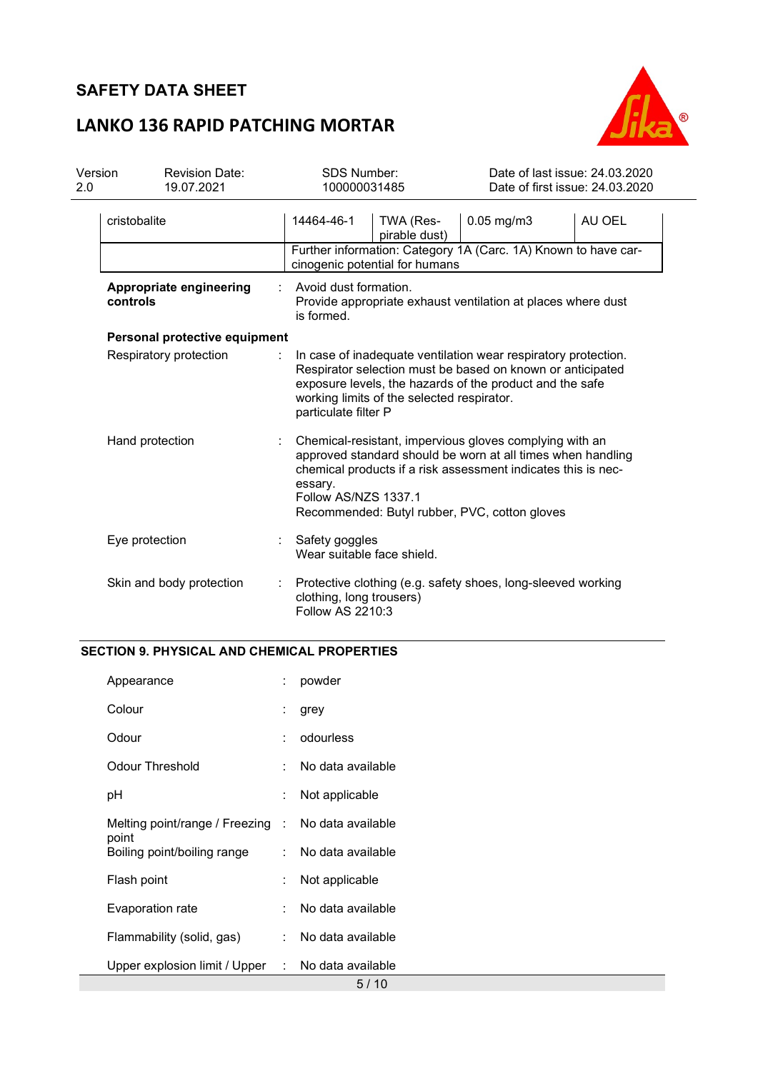# LANKO 136 RAPID PATCHING MORTAR



| 2.0 | Version<br><b>Revision Date:</b><br>19.07.2021 |  | <b>SDS Number:</b><br>100000031485                                                                                                          | Date of last issue: 24,03,2020<br>Date of first issue: 24.03.2020                                                            |  |
|-----|------------------------------------------------|--|---------------------------------------------------------------------------------------------------------------------------------------------|------------------------------------------------------------------------------------------------------------------------------|--|
|     | cristobalite                                   |  | 14464-46-1<br>TWA (Res-<br>pirable dust)                                                                                                    | $0.05$ mg/m $3$<br>AU OEL                                                                                                    |  |
|     |                                                |  | cinogenic potential for humans                                                                                                              | Further information: Category 1A (Carc. 1A) Known to have car-                                                               |  |
|     | Appropriate engineering<br>controls            |  | Avoid dust formation.<br>is formed.                                                                                                         | Provide appropriate exhaust ventilation at places where dust                                                                 |  |
|     | Personal protective equipment                  |  |                                                                                                                                             |                                                                                                                              |  |
|     | Respiratory protection                         |  | exposure levels, the hazards of the product and the safe<br>working limits of the selected respirator.<br>particulate filter P              | In case of inadequate ventilation wear respiratory protection.<br>Respirator selection must be based on known or anticipated |  |
|     | Hand protection                                |  | Chemical-resistant, impervious gloves complying with an<br>essary.<br>Follow AS/NZS 1337.1<br>Recommended: Butyl rubber, PVC, cotton gloves | approved standard should be worn at all times when handling<br>chemical products if a risk assessment indicates this is nec- |  |
|     | Eye protection                                 |  | Safety goggles<br>Wear suitable face shield.                                                                                                |                                                                                                                              |  |
|     | Skin and body protection                       |  | Protective clothing (e.g. safety shoes, long-sleeved working<br>clothing, long trousers)<br>Follow AS 2210:3                                |                                                                                                                              |  |

#### SECTION 9. PHYSICAL AND CHEMICAL PROPERTIES

| Appearance                                                  |    | powder              |
|-------------------------------------------------------------|----|---------------------|
| Colour                                                      |    | grey                |
| Odour                                                       |    | odourless           |
| Odour Threshold                                             |    | No data available   |
| рH                                                          |    | Not applicable      |
| Melting point/range / Freezing : No data available<br>point |    |                     |
| Boiling point/boiling range                                 |    | : No data available |
| Flash point                                                 | ÷  | Not applicable      |
| Evaporation rate                                            | t. | No data available   |
| Flammability (solid, gas)                                   |    | : No data available |
| Upper explosion limit / Upper : No data available           |    |                     |
|                                                             |    | 5/10                |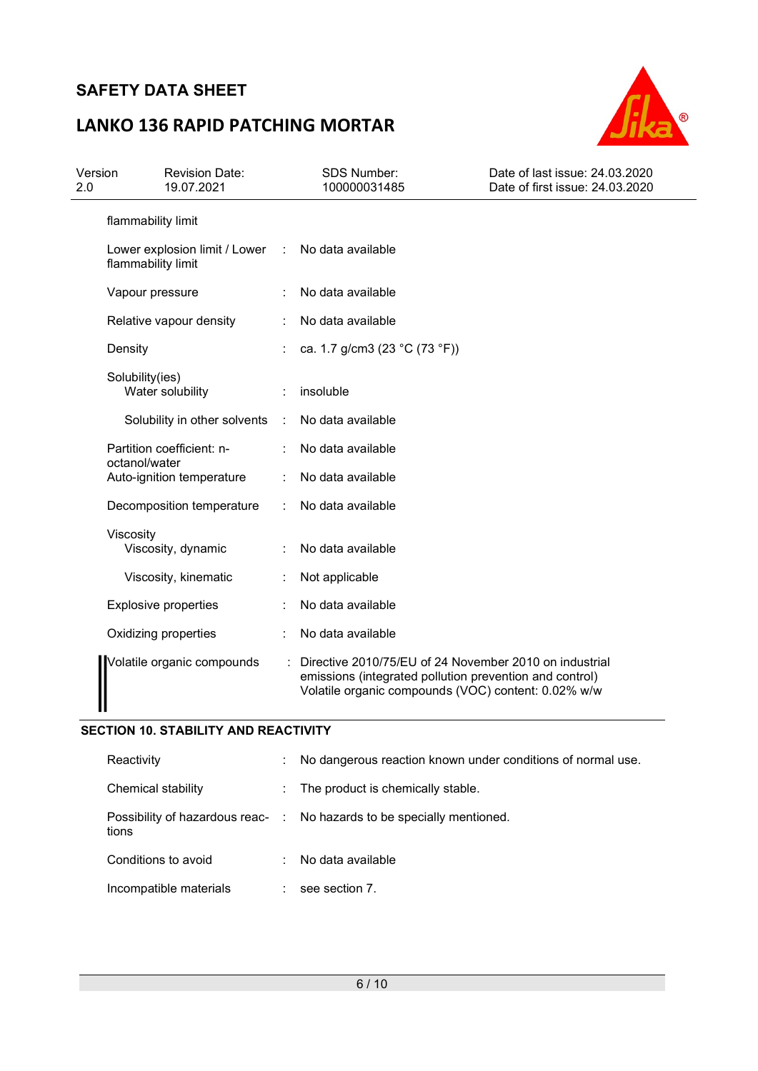# LANKO 136 RAPID PATCHING MORTAR



| Version<br>2.0 |                    | <b>Revision Date:</b><br>19.07.2021 |                      | <b>SDS Number:</b><br>100000031485                                                                                                                                       | Date of last issue: 24.03.2020<br>Date of first issue: 24.03.2020 |
|----------------|--------------------|-------------------------------------|----------------------|--------------------------------------------------------------------------------------------------------------------------------------------------------------------------|-------------------------------------------------------------------|
|                | flammability limit |                                     |                      |                                                                                                                                                                          |                                                                   |
|                | flammability limit | Lower explosion limit / Lower       | $\sim$ 10            | No data available                                                                                                                                                        |                                                                   |
|                | Vapour pressure    |                                     |                      | No data available                                                                                                                                                        |                                                                   |
|                |                    | Relative vapour density             |                      | No data available                                                                                                                                                        |                                                                   |
|                | Density            |                                     |                      | ca. 1.7 g/cm3 (23 °C (73 °F))                                                                                                                                            |                                                                   |
|                | Solubility(ies)    | Water solubility                    | Î.                   | insoluble                                                                                                                                                                |                                                                   |
|                |                    | Solubility in other solvents        | $\ddot{\phantom{a}}$ | No data available                                                                                                                                                        |                                                                   |
|                | octanol/water      | Partition coefficient: n-           |                      | No data available                                                                                                                                                        |                                                                   |
|                |                    | Auto-ignition temperature           |                      | No data available                                                                                                                                                        |                                                                   |
|                |                    | Decomposition temperature           |                      | No data available                                                                                                                                                        |                                                                   |
|                | Viscosity          | Viscosity, dynamic                  |                      | No data available                                                                                                                                                        |                                                                   |
|                |                    | Viscosity, kinematic                | $\ddot{\cdot}$       | Not applicable                                                                                                                                                           |                                                                   |
|                |                    | <b>Explosive properties</b>         |                      | No data available                                                                                                                                                        |                                                                   |
|                |                    | Oxidizing properties                |                      | No data available                                                                                                                                                        |                                                                   |
|                |                    | Volatile organic compounds          |                      | Directive 2010/75/EU of 24 November 2010 on industrial<br>emissions (integrated pollution prevention and control)<br>Volatile organic compounds (VOC) content: 0.02% w/w |                                                                   |

### SECTION 10. STABILITY AND REACTIVITY

| Reactivity                                | ÷. | No dangerous reaction known under conditions of normal use. |
|-------------------------------------------|----|-------------------------------------------------------------|
| Chemical stability                        |    | : The product is chemically stable.                         |
| Possibility of hazardous reac- :<br>tions |    | No hazards to be specially mentioned.                       |
| Conditions to avoid                       | ÷  | No data available                                           |
| Incompatible materials                    |    | see section 7.                                              |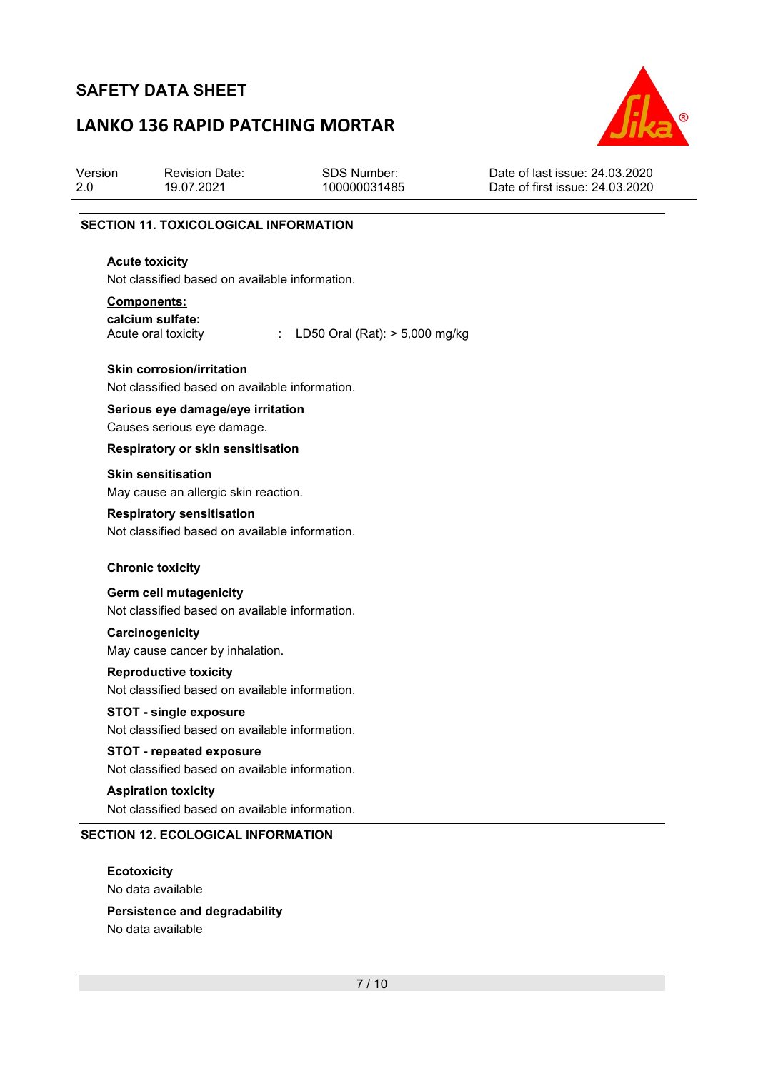## LANKO 136 RAPID PATCHING MORTAR



| Version                                      | <b>Revision Date:</b> | SDS Number:  | Date of last issue: 24,03,2020  |  |  |  |
|----------------------------------------------|-----------------------|--------------|---------------------------------|--|--|--|
| 2.0                                          | 19.07.2021            | 100000031485 | Date of first issue: 24.03.2020 |  |  |  |
| <b>SECTION 11. TOXICOLOGICAL INFORMATION</b> |                       |              |                                 |  |  |  |

#### Acute toxicity

Not classified based on available information.

#### Components:

calcium sulfate:

Acute oral toxicity : LD50 Oral (Rat): > 5,000 mg/kg

#### Skin corrosion/irritation

Not classified based on available information.

#### Serious eye damage/eye irritation Causes serious eye damage.

#### Respiratory or skin sensitisation

Skin sensitisation

May cause an allergic skin reaction.

#### Respiratory sensitisation

Not classified based on available information.

#### Chronic toxicity

#### Germ cell mutagenicity

Not classified based on available information.

#### **Carcinogenicity**

May cause cancer by inhalation.

#### Reproductive toxicity

Not classified based on available information.

### STOT - single exposure

Not classified based on available information.

#### STOT - repeated exposure

Not classified based on available information.

#### Aspiration toxicity Not classified based on available information.

#### SECTION 12. ECOLOGICAL INFORMATION

**Ecotoxicity** No data available

#### Persistence and degradability No data available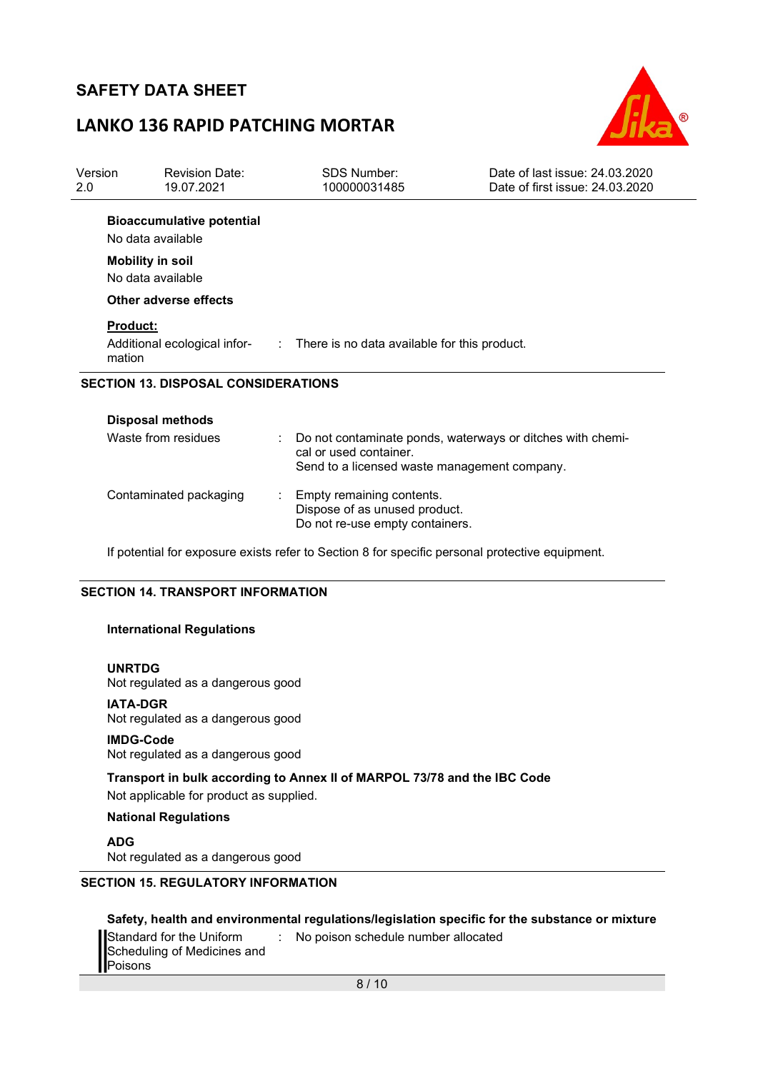## LANKO 136 RAPID PATCHING MORTAR



| Version<br>2.0 | <b>Revision Date:</b><br>19.07.2021                   | <b>SDS Number:</b><br>100000031485                                                                                                   | Date of last issue: 24,03,2020<br>Date of first issue: 24.03.2020 |
|----------------|-------------------------------------------------------|--------------------------------------------------------------------------------------------------------------------------------------|-------------------------------------------------------------------|
|                | <b>Bioaccumulative potential</b><br>No data available |                                                                                                                                      |                                                                   |
|                | <b>Mobility in soil</b><br>No data available          |                                                                                                                                      |                                                                   |
|                | Other adverse effects                                 |                                                                                                                                      |                                                                   |
| mation         | <b>Product:</b>                                       | Additional ecological infor- : There is no data available for this product.                                                          |                                                                   |
|                | <b>SECTION 13. DISPOSAL CONSIDERATIONS</b>            |                                                                                                                                      |                                                                   |
|                | <b>Disposal methods</b>                               |                                                                                                                                      |                                                                   |
|                | Waste from residues                                   | Do not contaminate ponds, waterways or ditches with chemi-<br>cal or used container.<br>Send to a licensed waste management company. |                                                                   |
|                | Contaminated packaging                                | Empty remaining contents.<br>Dispose of as unused product.<br>Do not re-use empty containers.                                        |                                                                   |

If potential for exposure exists refer to Section 8 for specific personal protective equipment.

#### SECTION 14. TRANSPORT INFORMATION

#### International Regulations

#### UNRTDG

Not regulated as a dangerous good

#### IATA-DGR

Not regulated as a dangerous good

#### IMDG-Code

Not regulated as a dangerous good

#### Transport in bulk according to Annex II of MARPOL 73/78 and the IBC Code

Not applicable for product as supplied.

#### National Regulations

ADG Not regulated as a dangerous good

#### SECTION 15. REGULATORY INFORMATION

#### Safety, health and environmental regulations/legislation specific for the substance or mixture

| Standard for the Uniform    | : No poison schedule number allocated |
|-----------------------------|---------------------------------------|
| Scheduling of Medicines and |                                       |
| Poisons                     |                                       |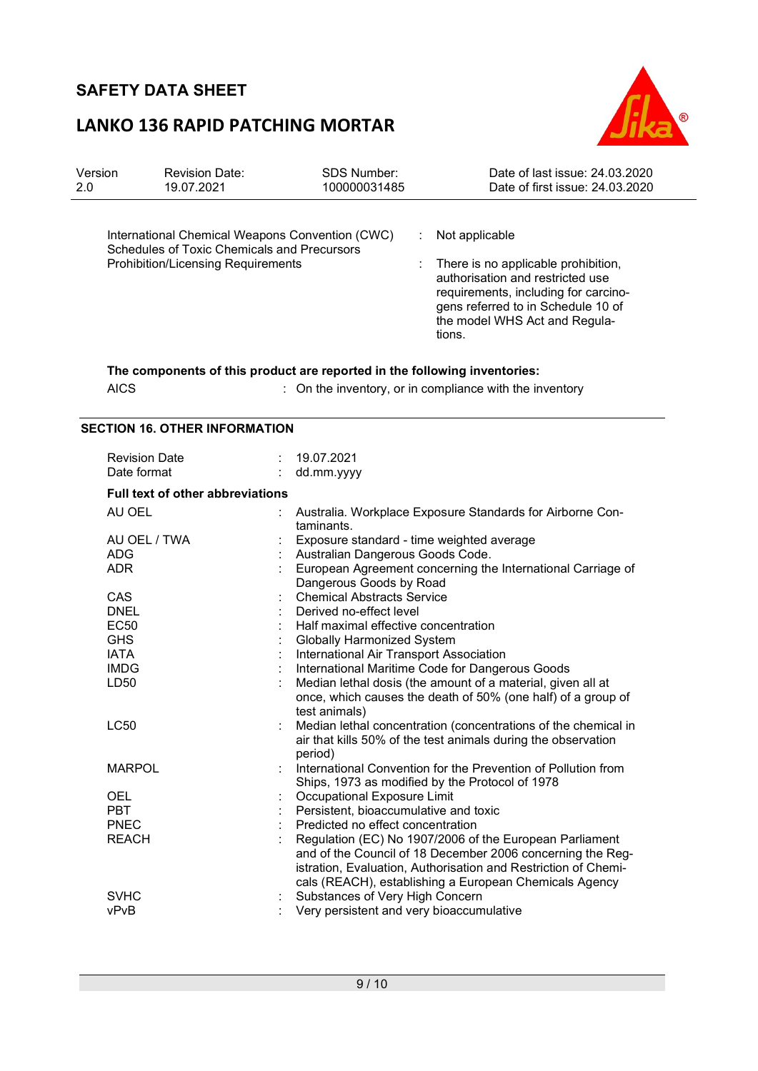# LANKO 136 RAPID PATCHING MORTAR



| Version<br>2.0 | <b>Revision Date:</b><br>19.07.2021                                                                                                         | <b>SDS Number:</b><br>100000031485                                                                                                        | Date of last issue: 24.03.2020<br>Date of first issue: 24.03.2020                                                                                                                                                  |
|----------------|---------------------------------------------------------------------------------------------------------------------------------------------|-------------------------------------------------------------------------------------------------------------------------------------------|--------------------------------------------------------------------------------------------------------------------------------------------------------------------------------------------------------------------|
|                | International Chemical Weapons Convention (CWC)<br>Schedules of Toxic Chemicals and Precursors<br><b>Prohibition/Licensing Requirements</b> | ÷                                                                                                                                         | Not applicable<br>There is no applicable prohibition,<br>authorisation and restricted use<br>requirements, including for carcino-<br>gens referred to in Schedule 10 of<br>the model WHS Act and Regula-<br>tions. |
|                | The components of this product are reported in the following inventories:<br><b>AICS</b>                                                    |                                                                                                                                           | : On the inventory, or in compliance with the inventory                                                                                                                                                            |
|                | <b>SECTION 16. OTHER INFORMATION</b>                                                                                                        |                                                                                                                                           |                                                                                                                                                                                                                    |
|                | <b>Revision Date</b><br>Date format                                                                                                         | 19.07.2021<br>dd.mm.yyyy                                                                                                                  |                                                                                                                                                                                                                    |
|                | <b>Full text of other abbreviations</b>                                                                                                     |                                                                                                                                           |                                                                                                                                                                                                                    |
|                | AU OEL<br>AU OEL / TWA                                                                                                                      | taminants.<br>Exposure standard - time weighted average                                                                                   | Australia. Workplace Exposure Standards for Airborne Con-                                                                                                                                                          |
|                | ADG<br><b>ADR</b>                                                                                                                           | Australian Dangerous Goods Code.<br>Dangerous Goods by Road                                                                               | European Agreement concerning the International Carriage of                                                                                                                                                        |
|                | <b>CAS</b><br><b>DNEL</b><br><b>EC50</b><br><b>GHS</b>                                                                                      | <b>Chemical Abstracts Service</b><br>Derived no-effect level<br>Half maximal effective concentration<br><b>Globally Harmonized System</b> |                                                                                                                                                                                                                    |
|                | <b>IATA</b><br><b>IMDG</b><br>LD50                                                                                                          | International Air Transport Association<br>test animals)                                                                                  | International Maritime Code for Dangerous Goods<br>Median lethal dosis (the amount of a material, given all at<br>once, which causes the death of 50% (one half) of a group of                                     |
|                | <b>LC50</b>                                                                                                                                 | period)                                                                                                                                   | Median lethal concentration (concentrations of the chemical in<br>air that kills 50% of the test animals during the observation                                                                                    |
|                | <b>MARPOL</b>                                                                                                                               | Ships, 1973 as modified by the Protocol of 1978                                                                                           | International Convention for the Prevention of Pollution from                                                                                                                                                      |
|                | OEL                                                                                                                                         | Occupational Exposure Limit                                                                                                               |                                                                                                                                                                                                                    |

| PBT.  | Persistent, bioaccumulative and toxic                          |
|-------|----------------------------------------------------------------|
| PNEC  | Predicted no effect concentration                              |
| REACH | Regulation (EC) No 1907/2006 of the European Parliament        |
|       | and of the Council of 18 December 2006 concerning the Reg-     |
|       | istration, Evaluation, Authorisation and Restriction of Chemi- |
|       | cals (REACH), establishing a European Chemicals Agency         |
| SVHC  | Substances of Very High Concern                                |
| vPvB  | Very persistent and very bioaccumulative                       |
|       |                                                                |